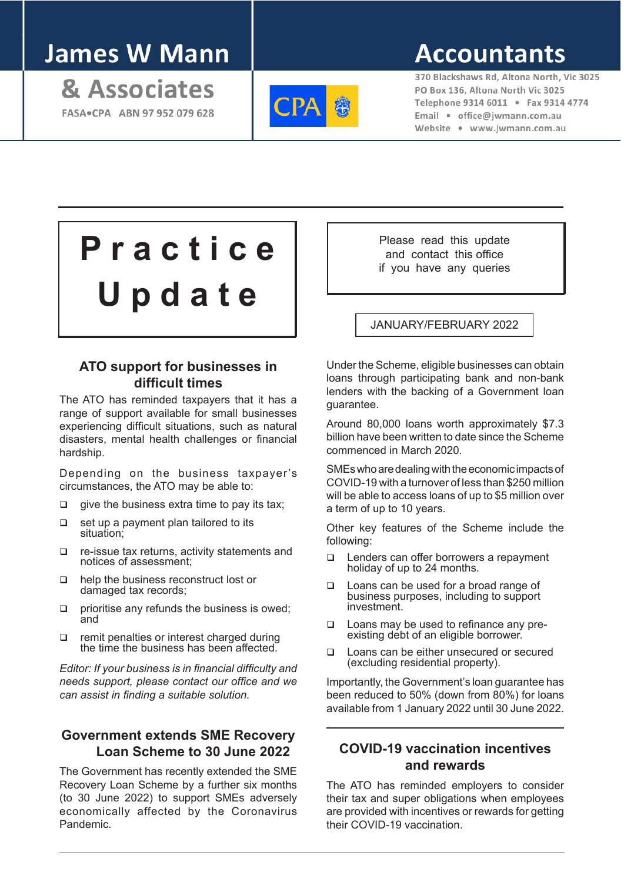# **James W Mann**

& Associates FASA . CPA ABN 97 952 079 628



# **Accountants**

370 Blackshaws Rd. Altona North, Vic 3025 PO Box 136, Altona North Vic 3025 Telephone 9314 6011 . Fax 9314 4774 Email · office@iwmann.com.au Website . www.jwmann.com.au

# **P r a c t i c e U p d a t e**

# **ATO support for businesses in difficult times**

The ATO has reminded taxpayers that it has a range of support available for small businesses experiencing difficult situations, such as natural disasters, mental health challenges or financial hardship.

Depending on the business taxpayer's circumstances, the ATO may be able to:

- $\Box$  give the business extra time to pay its tax;
- $\Box$  set up a payment plan tailored to its situation;
- $\Box$  re-issue tax returns, activity statements and notices of assessment;
- q help the business reconstruct lost or damaged tax records;
- $\Box$  prioritise any refunds the business is owed; and
- $\Box$  remit penalties or interest charged during the time the business has been affected.

*Editor: If your business is in financial difficulty and needs support, please contact our office and we can assist in finding a suitable solution.*

# **Government extends SME Recovery Loan Scheme to 30 June 2022**

The Government has recently extended the SME Recovery Loan Scheme by a further six months (to 30 June 2022) to support SMEs adversely economically affected by the Coronavirus Pandemic.

Please read this update and contact this office if you have any queries

#### JANUARY/FEBRUARY 2022

Under the Scheme, eligible businesses can obtain loans through participating bank and non-bank lenders with the backing of a Government loan guarantee.

Around 80,000 loans worth approximately \$7.3 billion have been written to date since the Scheme commenced in March 2020.

SMEs who are dealing with the economic impacts of COVID-19 with a turnover of less than \$250 million will be able to access loans of up to \$5 million over a term of up to 10 years.

Other key features of the Scheme include the following:

- □ Lenders can offer borrowers a repayment holiday of up to 24 months.
- □ Loans can be used for a broad range of business purposes, including to support investment.
- □ Loans may be used to refinance any preexisting debt of an eligible borrower.
- □ Loans can be either unsecured or secured (excluding residential property).

Importantly, the Government's loan guarantee has been reduced to 50% (down from 80%) for loans available from 1 January 2022 until 30 June 2022.

#### **COVID-19 vaccination incentives and rewards**

The ATO has reminded employers to consider their tax and super obligations when employees are provided with incentives or rewards for getting their COVID-19 vaccination.